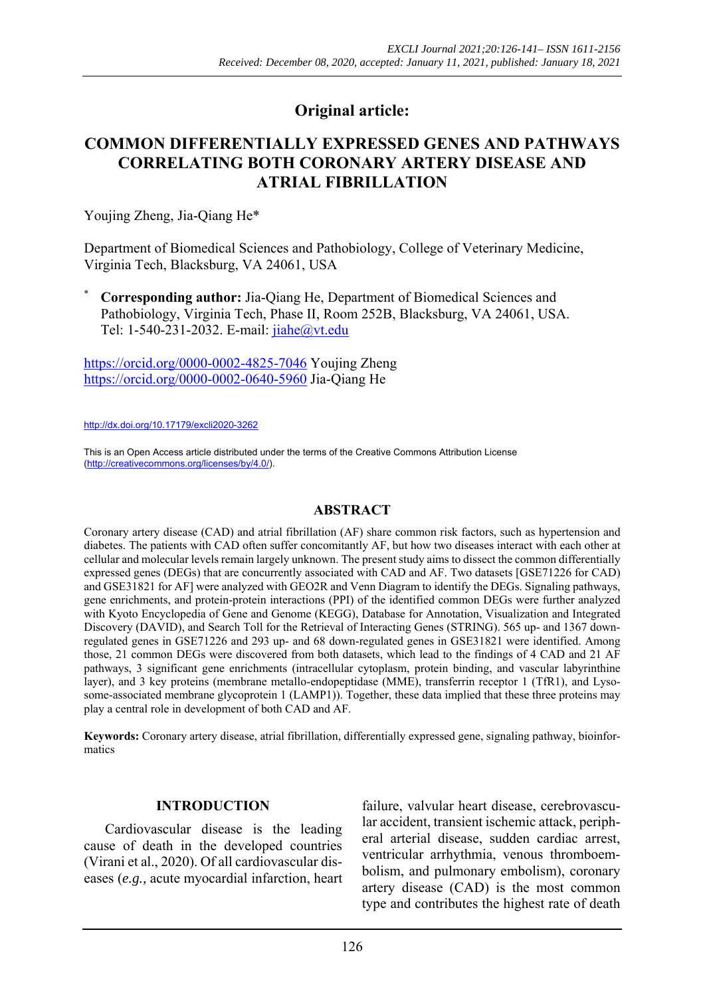# **Original article:**

# **COMMON DIFFERENTIALLY EXPRESSED GENES AND PATHWAYS CORRELATING BOTH CORONARY ARTERY DISEASE AND ATRIAL FIBRILLATION**

Youjing Zheng, Jia-Qiang He\*

Department of Biomedical Sciences and Pathobiology, College of Veterinary Medicine, Virginia Tech, Blacksburg, VA 24061, USA

\* **Corresponding author:** Jia-Qiang He, Department of Biomedical Sciences and Pathobiology, Virginia Tech, Phase II, Room 252B, Blacksburg, VA 24061, USA. Tel: 1-540-231-2032. E-mail: jiahe@vt.edu

https://orcid.org/0000-0002-4825-7046 Youjing Zheng https://orcid.org/0000-0002-0640-5960 Jia-Qiang He

http://dx.doi.org/10.17179/excli2020-3262

This is an Open Access article distributed under the terms of the Creative Commons Attribution License (http://creativecommons.org/licenses/by/4.0/).

## **ABSTRACT**

Coronary artery disease (CAD) and atrial fibrillation (AF) share common risk factors, such as hypertension and diabetes. The patients with CAD often suffer concomitantly AF, but how two diseases interact with each other at cellular and molecular levels remain largely unknown. The present study aims to dissect the common differentially expressed genes (DEGs) that are concurrently associated with CAD and AF. Two datasets [GSE71226 for CAD) and GSE31821 for AF] were analyzed with GEO2R and Venn Diagram to identify the DEGs. Signaling pathways, gene enrichments, and protein-protein interactions (PPI) of the identified common DEGs were further analyzed with Kyoto Encyclopedia of Gene and Genome (KEGG), Database for Annotation, Visualization and Integrated Discovery (DAVID), and Search Toll for the Retrieval of Interacting Genes (STRING). 565 up- and 1367 downregulated genes in GSE71226 and 293 up- and 68 down-regulated genes in GSE31821 were identified. Among those, 21 common DEGs were discovered from both datasets, which lead to the findings of 4 CAD and 21 AF pathways, 3 significant gene enrichments (intracellular cytoplasm, protein binding, and vascular labyrinthine layer), and 3 key proteins (membrane metallo-endopeptidase (MME), transferrin receptor 1 (TfR1), and Lysosome-associated membrane glycoprotein 1 (LAMP1)). Together, these data implied that these three proteins may play a central role in development of both CAD and AF.

**Keywords:** Coronary artery disease, atrial fibrillation, differentially expressed gene, signaling pathway, bioinformatics

#### **INTRODUCTION**

Cardiovascular disease is the leading cause of death in the developed countries (Virani et al., 2020). Of all cardiovascular diseases (*e.g.,* acute myocardial infarction, heart failure, valvular heart disease, cerebrovascular accident, transient ischemic attack, peripheral arterial disease, sudden cardiac arrest, ventricular arrhythmia, venous thromboembolism, and pulmonary embolism), coronary artery disease (CAD) is the most common type and contributes the highest rate of death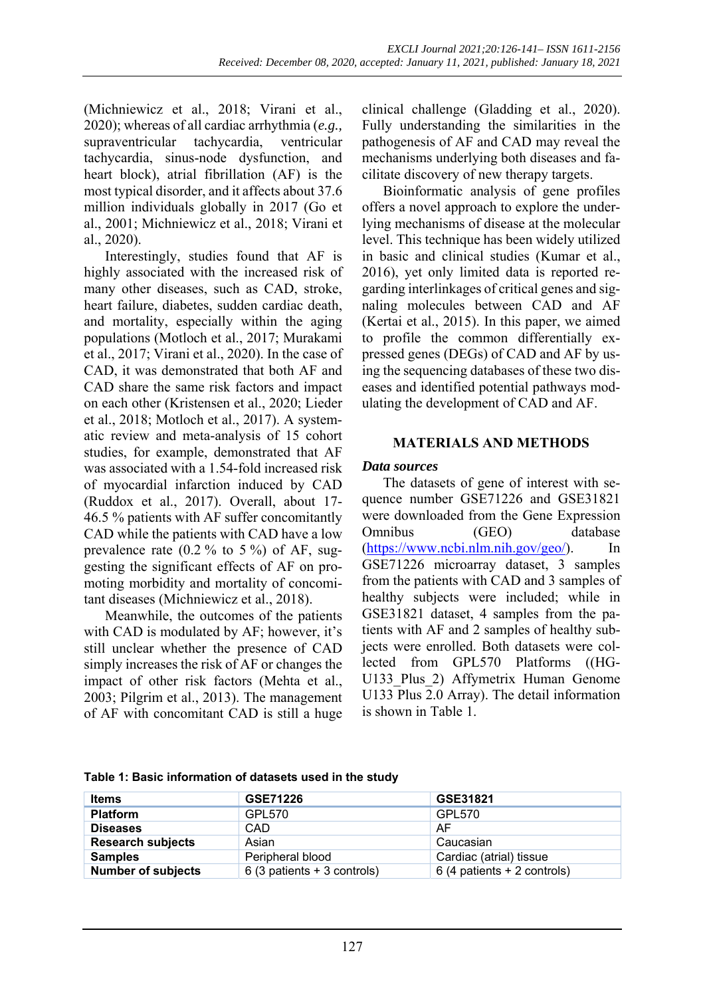(Michniewicz et al., 2018; Virani et al., 2020); whereas of all cardiac arrhythmia (*e.g.,* supraventricular tachycardia, ventricular tachycardia, sinus-node dysfunction, and heart block), atrial fibrillation (AF) is the most typical disorder, and it affects about 37.6 million individuals globally in 2017 (Go et al., 2001; Michniewicz et al., 2018; Virani et al., 2020).

Interestingly, studies found that AF is highly associated with the increased risk of many other diseases, such as CAD, stroke, heart failure, diabetes, sudden cardiac death, and mortality, especially within the aging populations (Motloch et al., 2017; Murakami et al., 2017; Virani et al., 2020). In the case of CAD, it was demonstrated that both AF and CAD share the same risk factors and impact on each other (Kristensen et al., 2020; Lieder et al., 2018; Motloch et al., 2017). A systematic review and meta-analysis of 15 cohort studies, for example, demonstrated that AF was associated with a 1.54-fold increased risk of myocardial infarction induced by CAD (Ruddox et al., 2017). Overall, about 17- 46.5 % patients with AF suffer concomitantly CAD while the patients with CAD have a low prevalence rate  $(0.2\%$  to 5%) of AF, suggesting the significant effects of AF on promoting morbidity and mortality of concomitant diseases (Michniewicz et al., 2018).

Meanwhile, the outcomes of the patients with CAD is modulated by AF; however, it's still unclear whether the presence of CAD simply increases the risk of AF or changes the impact of other risk factors (Mehta et al., 2003; Pilgrim et al., 2013). The management of AF with concomitant CAD is still a huge

clinical challenge (Gladding et al., 2020). Fully understanding the similarities in the pathogenesis of AF and CAD may reveal the mechanisms underlying both diseases and facilitate discovery of new therapy targets.

Bioinformatic analysis of gene profiles offers a novel approach to explore the underlying mechanisms of disease at the molecular level. This technique has been widely utilized in basic and clinical studies (Kumar et al., 2016), yet only limited data is reported regarding interlinkages of critical genes and signaling molecules between CAD and AF (Kertai et al., 2015). In this paper, we aimed to profile the common differentially expressed genes (DEGs) of CAD and AF by using the sequencing databases of these two diseases and identified potential pathways modulating the development of CAD and AF.

# **MATERIALS AND METHODS**

## *Data sources*

The datasets of gene of interest with sequence number GSE71226 and GSE31821 were downloaded from the Gene Expression Omnibus (GEO) database (https://www.ncbi.nlm.nih.gov/geo/). In GSE71226 microarray dataset, 3 samples from the patients with CAD and 3 samples of healthy subjects were included; while in GSE31821 dataset, 4 samples from the patients with AF and 2 samples of healthy subjects were enrolled. Both datasets were collected from GPL570 Platforms ((HG-U133 Plus 2) Affymetrix Human Genome U133 Plus 2.0 Array). The detail information is shown in Table 1.

**Table 1: Basic information of datasets used in the study** 

| Items                     | GSE71226                      | GSE31821                     |
|---------------------------|-------------------------------|------------------------------|
| <b>Platform</b>           | GPL570                        | GPL570                       |
| <b>Diseases</b>           | CAD                           | AF                           |
| <b>Research subjects</b>  | Asian                         | Caucasian                    |
| <b>Samples</b>            | Peripheral blood              | Cardiac (atrial) tissue      |
| <b>Number of subjects</b> | $6(3$ patients $+3$ controls) | $6(4$ patients + 2 controls) |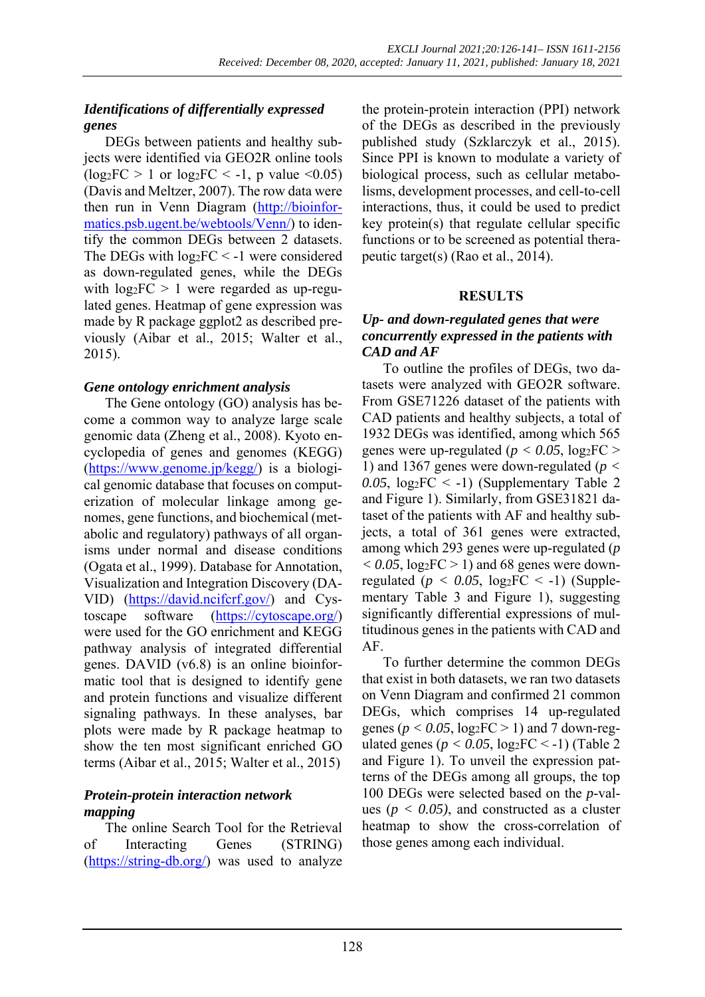# *Identifications of differentially expressed genes*

DEGs between patients and healthy subjects were identified via GEO2R online tools  $(log_2FC > 1$  or  $log_2FC < -1$ , p value <0.05) (Davis and Meltzer, 2007). The row data were then run in Venn Diagram (http://bioinformatics.psb.ugent.be/webtools/Venn/) to identify the common DEGs between 2 datasets. The DEGs with  $log_2FC < -1$  were considered as down-regulated genes, while the DEGs with  $log_2FC > 1$  were regarded as up-regulated genes. Heatmap of gene expression was made by R package ggplot2 as described previously (Aibar et al., 2015; Walter et al., 2015).

## *Gene ontology enrichment analysis*

The Gene ontology (GO) analysis has become a common way to analyze large scale genomic data (Zheng et al., 2008). Kyoto encyclopedia of genes and genomes (KEGG) (https://www.genome.jp/kegg/) is a biological genomic database that focuses on computerization of molecular linkage among genomes, gene functions, and biochemical (metabolic and regulatory) pathways of all organisms under normal and disease conditions (Ogata et al., 1999). Database for Annotation, Visualization and Integration Discovery (DA-VID) (https://david.ncifcrf.gov/) and Cystoscape software (https://cytoscape.org/) were used for the GO enrichment and KEGG pathway analysis of integrated differential genes. DAVID (v6.8) is an online bioinformatic tool that is designed to identify gene and protein functions and visualize different signaling pathways. In these analyses, bar plots were made by R package heatmap to show the ten most significant enriched GO terms (Aibar et al., 2015; Walter et al., 2015)

## *Protein-protein interaction network mapping*

The online Search Tool for the Retrieval of Interacting Genes (STRING) (https://string-db.org/) was used to analyze the protein-protein interaction (PPI) network of the DEGs as described in the previously published study (Szklarczyk et al., 2015). Since PPI is known to modulate a variety of biological process, such as cellular metabolisms, development processes, and cell-to-cell interactions, thus, it could be used to predict key protein(s) that regulate cellular specific functions or to be screened as potential therapeutic target(s) (Rao et al., 2014).

# **RESULTS**

## *Up- and down-regulated genes that were concurrently expressed in the patients with CAD and AF*

To outline the profiles of DEGs, two datasets were analyzed with GEO2R software. From GSE71226 dataset of the patients with CAD patients and healthy subjects, a total of 1932 DEGs was identified, among which 565 genes were up-regulated ( $p < 0.05$ ,  $log_2FC$ ) 1) and 1367 genes were down-regulated (*p <*  0.05,  $log_2FC < -1$ ) (Supplementary Table 2 and Figure 1). Similarly, from GSE31821 dataset of the patients with AF and healthy subjects, a total of 361 genes were extracted, among which 293 genes were up-regulated (*p*   $< 0.05$ ,  $log_2FC > 1$  and 68 genes were downregulated ( $p < 0.05$ ,  $log<sub>2</sub>FC < -1$ ) [\(Supple](https://www.excli.de/vol20/excli2020-3262_supplementary_material.zip)[mentary Table 3 a](https://www.excli.de/vol20/excli2020-3262_supplementary_material.zip)nd Figure 1), suggesting significantly differential expressions of multitudinous genes in the patients with CAD and AF.

To further determine the common DEGs that exist in both datasets, we ran two datasets on Venn Diagram and confirmed 21 common DEGs, which comprises 14 up-regulated genes ( $p < 0.05$ ,  $log_2FC > 1$ ) and 7 down-regulated genes ( $p < 0.05$ ,  $log_2FC < -1$ ) (Table 2) and Figure 1). To unveil the expression patterns of the DEGs among all groups, the top 100 DEGs were selected based on the *p*-values ( $p < 0.05$ ), and constructed as a cluster heatmap to show the cross-correlation of those genes among each individual.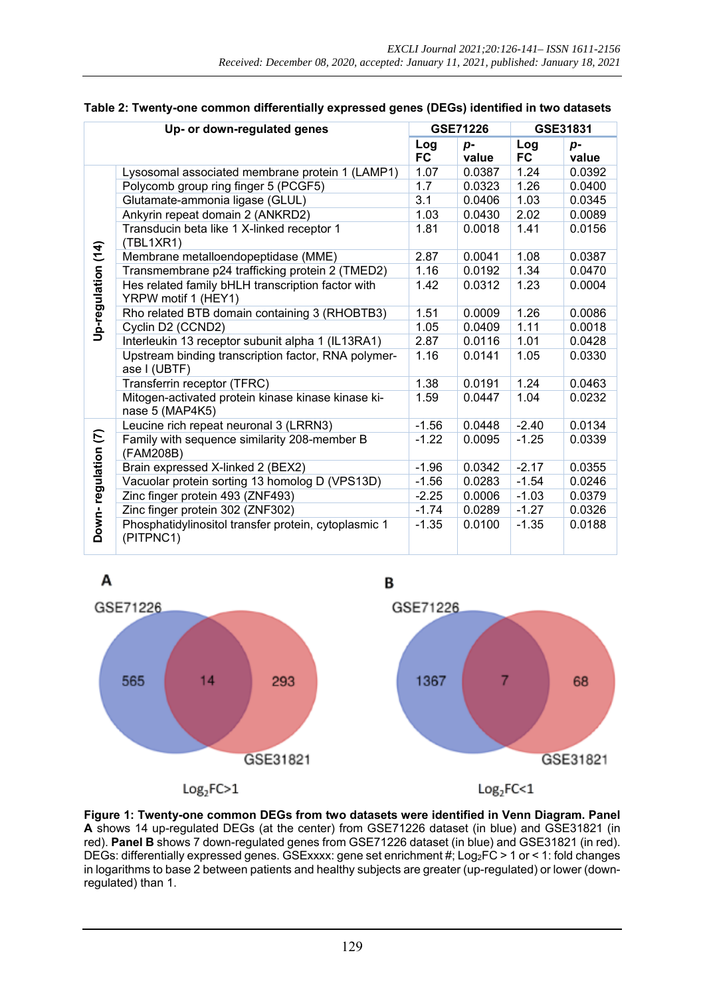| Up- or down-regulated genes |                                                                          |                  | GSE71226    | GSE31831  |               |
|-----------------------------|--------------------------------------------------------------------------|------------------|-------------|-----------|---------------|
|                             |                                                                          | Log<br><b>FC</b> | p-<br>value | Log<br>FC | $p-$<br>value |
|                             | Lysosomal associated membrane protein 1 (LAMP1)                          | 1.07             | 0.0387      | 1.24      | 0.0392        |
|                             | Polycomb group ring finger 5 (PCGF5)                                     |                  | 0.0323      | 1.26      | 0.0400        |
|                             | 3.1<br>Glutamate-ammonia ligase (GLUL)                                   |                  | 0.0406      | 1.03      | 0.0345        |
|                             | Ankyrin repeat domain 2 (ANKRD2)                                         | 1.03             | 0.0430      | 2.02      | 0.0089        |
|                             | Transducin beta like 1 X-linked receptor 1<br>(TBL1XR1)                  | 1.81             | 0.0018      | 1.41      | 0.0156        |
|                             | Membrane metalloendopeptidase (MME)                                      | 2.87             | 0.0041      | 1.08      | 0.0387        |
|                             | Transmembrane p24 trafficking protein 2 (TMED2)                          | 1.16             | 0.0192      | 1.34      | 0.0470        |
| Up-regulation (14)          | Hes related family bHLH transcription factor with<br>YRPW motif 1 (HEY1) |                  | 0.0312      | 1.23      | 0.0004        |
|                             | Rho related BTB domain containing 3 (RHOBTB3)                            | 1.51             | 0.0009      | 1.26      | 0.0086        |
|                             | Cyclin D2 (CCND2)                                                        | 1.05             | 0.0409      | 1.11      | 0.0018        |
|                             | Interleukin 13 receptor subunit alpha 1 (IL13RA1)                        | 2.87<br>1.16     | 0.0116      | 1.01      | 0.0428        |
|                             | Upstream binding transcription factor, RNA polymer-<br>ase I (UBTF)      |                  | 0.0141      | 1.05      | 0.0330        |
|                             | Transferrin receptor (TFRC)                                              | 1.38             | 0.0191      | 1.24      | 0.0463        |
|                             | Mitogen-activated protein kinase kinase kinase ki-<br>nase 5 (MAP4K5)    | 1.59             | 0.0447      | 1.04      | 0.0232        |
|                             | Leucine rich repeat neuronal 3 (LRRN3)                                   | $-1.56$          | 0.0448      | $-2.40$   | 0.0134        |
| Down-regulation (7)         | Family with sequence similarity 208-member B<br>(FAM208B)                |                  | 0.0095      | $-1.25$   | 0.0339        |
|                             | Brain expressed X-linked 2 (BEX2)                                        | $-1.96$          | 0.0342      | $-2.17$   | 0.0355        |
|                             | Vacuolar protein sorting 13 homolog D (VPS13D)                           | $-1.56$          | 0.0283      | $-1.54$   | 0.0246        |
|                             | Zinc finger protein 493 (ZNF493)                                         | $-2.25$          | 0.0006      | $-1.03$   | 0.0379        |
|                             | Zinc finger protein 302 (ZNF302)                                         | $-1.74$          | 0.0289      | $-1.27$   | 0.0326        |
|                             | Phosphatidylinositol transfer protein, cytoplasmic 1<br>(PITPNC1)        | $-1.35$          | 0.0100      | $-1.35$   | 0.0188        |

| Table 2: Twenty-one common differentially expressed genes (DEGs) identified in two datasets |  |  |  |
|---------------------------------------------------------------------------------------------|--|--|--|
|                                                                                             |  |  |  |



**Figure 1: Twenty-one common DEGs from two datasets were identified in Venn Diagram. Panel A** shows 14 up-regulated DEGs (at the center) from GSE71226 dataset (in blue) and GSE31821 (in red). **Panel B** shows 7 down-regulated genes from GSE71226 dataset (in blue) and GSE31821 (in red). DEGs: differentially expressed genes. GSExxxx: gene set enrichment #; Log2FC > 1 or < 1: fold changes in logarithms to base 2 between patients and healthy subjects are greater (up-regulated) or lower (downregulated) than 1.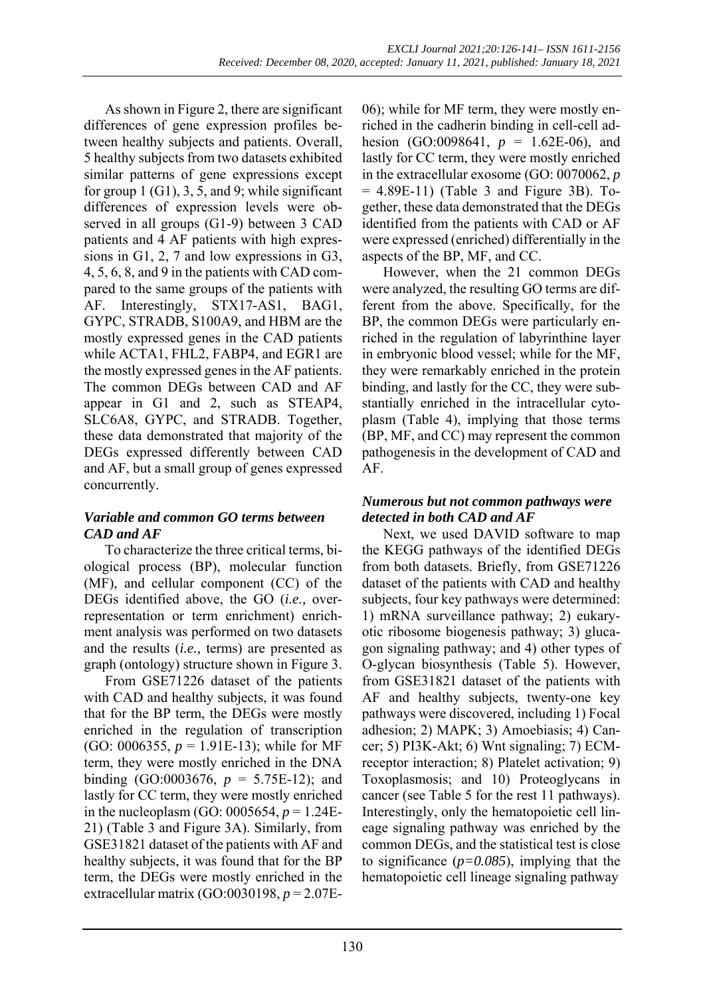As shown in Figure 2, there are significant differences of gene expression profiles between healthy subjects and patients. Overall, 5 healthy subjects from two datasets exhibited similar patterns of gene expressions except for group  $1$  (G1), 3, 5, and 9; while significant differences of expression levels were observed in all groups (G1-9) between 3 CAD patients and 4 AF patients with high expressions in G1, 2, 7 and low expressions in G3, 4, 5, 6, 8, and 9 in the patients with CAD compared to the same groups of the patients with AF. Interestingly, STX17-AS1, BAG1, GYPC, STRADB, S100A9, and HBM are the mostly expressed genes in the CAD patients while ACTA1, FHL2, FABP4, and EGR1 are the mostly expressed genes in the AF patients. The common DEGs between CAD and AF appear in G1 and 2, such as STEAP4, SLC6A8, GYPC, and STRADB. Together, these data demonstrated that majority of the DEGs expressed differently between CAD and AF, but a small group of genes expressed concurrently.

## *Variable and common GO terms between CAD and AF*

To characterize the three critical terms, biological process (BP), molecular function (MF), and cellular component (CC) of the DEGs identified above, the GO (*i.e.,* overrepresentation or term enrichment) enrichment analysis was performed on two datasets and the results (*i.e.,* terms) are presented as graph (ontology) structure shown in Figure 3.

From GSE71226 dataset of the patients with CAD and healthy subjects, it was found that for the BP term, the DEGs were mostly enriched in the regulation of transcription (GO: 0006355, *p* = 1.91E-13); while for MF term, they were mostly enriched in the DNA binding (GO:0003676, *p* = 5.75E-12); and lastly for CC term, they were mostly enriched in the nucleoplasm (GO: 0005654, *p* = 1.24E-21) (Table 3 and Figure 3A). Similarly, from GSE31821 dataset of the patients with AF and healthy subjects, it was found that for the BP term, the DEGs were mostly enriched in the extracellular matrix (GO:0030198, *p* = 2.07E- 06); while for MF term, they were mostly enriched in the cadherin binding in cell-cell adhesion (GO:0098641, *p* = 1.62E-06), and lastly for CC term, they were mostly enriched in the extracellular exosome (GO: 0070062, *p*   $= 4.89E-11$ ) (Table 3 and Figure 3B). Together, these data demonstrated that the DEGs identified from the patients with CAD or AF were expressed (enriched) differentially in the aspects of the BP, MF, and CC.

However, when the 21 common DEGs were analyzed, the resulting GO terms are different from the above. Specifically, for the BP, the common DEGs were particularly enriched in the regulation of labyrinthine layer in embryonic blood vessel; while for the MF, they were remarkably enriched in the protein binding, and lastly for the CC, they were substantially enriched in the intracellular cytoplasm (Table 4), implying that those terms (BP, MF, and CC) may represent the common pathogenesis in the development of CAD and AF.

### *Numerous but not common pathways were detected in both CAD and AF*

Next, we used DAVID software to map the KEGG pathways of the identified DEGs from both datasets. Briefly, from GSE71226 dataset of the patients with CAD and healthy subjects, four key pathways were determined: 1) mRNA surveillance pathway; 2) eukaryotic ribosome biogenesis pathway; 3) glucagon signaling pathway; and 4) other types of O-glycan biosynthesis (Table 5). However, from GSE31821 dataset of the patients with AF and healthy subjects, twenty-one key pathways were discovered, including 1) Focal adhesion; 2) MAPK; 3) Amoebiasis; 4) Cancer; 5) PI3K-Akt; 6) Wnt signaling; 7) ECMreceptor interaction; 8) Platelet activation; 9) Toxoplasmosis; and 10) Proteoglycans in cancer (see Table 5 for the rest 11 pathways). Interestingly, only the hematopoietic cell lineage signaling pathway was enriched by the common DEGs, and the statistical test is close to significance (*p=0.085*), implying that the hematopoietic cell lineage signaling pathway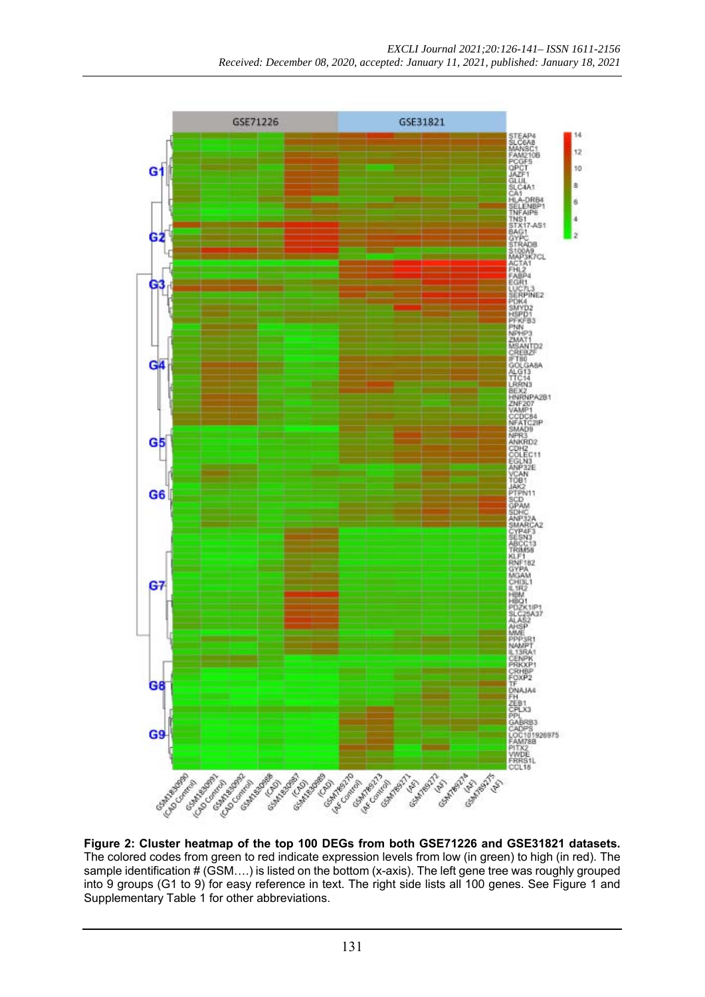

**Figure 2: Cluster heatmap of the top 100 DEGs from both GSE71226 and GSE31821 datasets.** The colored codes from green to red indicate expression levels from low (in green) to high (in red). The sample identification # (GSM….) is listed on the bottom (x-axis). The left gene tree was roughly grouped into 9 groups (G1 to 9) for easy reference in text. The right side lists all 100 genes. See Figure 1 and [Supplementary](https://www.excli.de/vol20/excli2020-3262_supplementary_material.zip) Table 1 for other abbreviations.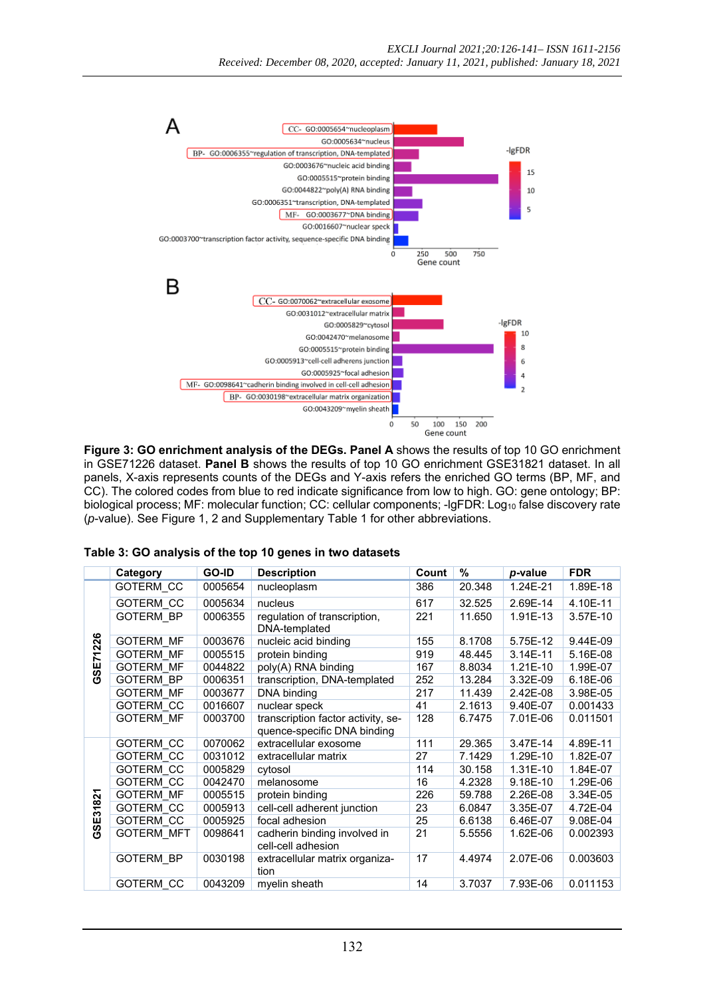

**Figure 3: GO enrichment analysis of the DEGs. Panel A** shows the results of top 10 GO enrichment in GSE71226 dataset. **Panel B** shows the results of top 10 GO enrichment GSE31821 dataset. In all panels, X-axis represents counts of the DEGs and Y-axis refers the enriched GO terms (BP, MF, and CC). The colored codes from blue to red indicate significance from low to high. GO: gene ontology; BP: biological process; MF: molecular function; CC: cellular components; -lgFDR: Log<sub>10</sub> false discovery rate (*p*-value). See Figure 1, 2 an[d Supplementary](https://www.excli.de/vol20/excli2020-3262_supplementary_material.zip) Table 1 for other abbreviations.

|          | Category          | GO-ID   | <b>Description</b>                                                | Count | %      | p-value      | <b>FDR</b> |
|----------|-------------------|---------|-------------------------------------------------------------------|-------|--------|--------------|------------|
|          | GOTERM_CC         | 0005654 | nucleoplasm                                                       | 386   | 20.348 | 1.24E-21     | 1.89E-18   |
|          | <b>GOTERM CC</b>  | 0005634 | nucleus                                                           | 617   | 32.525 | 2.69E-14     | 4.10E-11   |
|          | <b>GOTERM BP</b>  | 0006355 | regulation of transcription,<br>DNA-templated                     | 221   | 11.650 | 1.91E-13     | 3.57E-10   |
| GSE71226 | <b>GOTERM MF</b>  | 0003676 | nucleic acid binding                                              | 155   | 8.1708 | 5.75E-12     | 9.44E-09   |
|          | <b>GOTERM MF</b>  | 0005515 | protein binding                                                   | 919   | 48.445 | $3.14E - 11$ | 5.16E-08   |
|          | <b>GOTERM MF</b>  | 0044822 | poly(A) RNA binding                                               | 167   | 8.8034 | 1.21E-10     | 1.99E-07   |
|          | <b>GOTERM BP</b>  | 0006351 | transcription, DNA-templated                                      | 252   | 13.284 | 3.32E-09     | 6.18E-06   |
|          | <b>GOTERM MF</b>  | 0003677 | DNA binding                                                       | 217   | 11.439 | 2.42E-08     | 3.98E-05   |
|          | <b>GOTERM CC</b>  | 0016607 | nuclear speck                                                     | 41    | 2.1613 | 9.40E-07     | 0.001433   |
|          | <b>GOTERM MF</b>  | 0003700 | transcription factor activity, se-<br>quence-specific DNA binding | 128   | 6.7475 | 7.01E-06     | 0.011501   |
|          | GOTERM CC         | 0070062 | extracellular exosome                                             | 111   | 29.365 | 3.47E-14     | 4.89E-11   |
|          | GOTERM CC         | 0031012 | extracellular matrix                                              | 27    | 7.1429 | 1.29E-10     | 1.82E-07   |
|          | GOTERM CC         | 0005829 | cytosol                                                           | 114   | 30.158 | 1.31E-10     | 1.84E-07   |
|          | GOTERM CC         | 0042470 | melanosome                                                        | 16    | 4.2328 | 9.18E-10     | 1.29E-06   |
| E31821   | <b>GOTERM MF</b>  | 0005515 | protein binding                                                   | 226   | 59.788 | 2.26E-08     | 3.34E-05   |
|          | GOTERM CC         | 0005913 | cell-cell adherent junction                                       | 23    | 6.0847 | 3.35E-07     | 4.72E-04   |
| あ        | GOTERM CC         | 0005925 | focal adhesion                                                    | 25    | 6.6138 | 6.46E-07     | 9.08E-04   |
| ტ        | <b>GOTERM MFT</b> | 0098641 | cadherin binding involved in<br>cell-cell adhesion                | 21    | 5.5556 | 1.62E-06     | 0.002393   |
|          | <b>GOTERM BP</b>  | 0030198 | extracellular matrix organiza-<br>tion                            | 17    | 4.4974 | 2.07E-06     | 0.003603   |
|          | GOTERM CC         | 0043209 | myelin sheath                                                     | 14    | 3.7037 | 7.93E-06     | 0.011153   |

**Table 3: GO analysis of the top 10 genes in two datasets**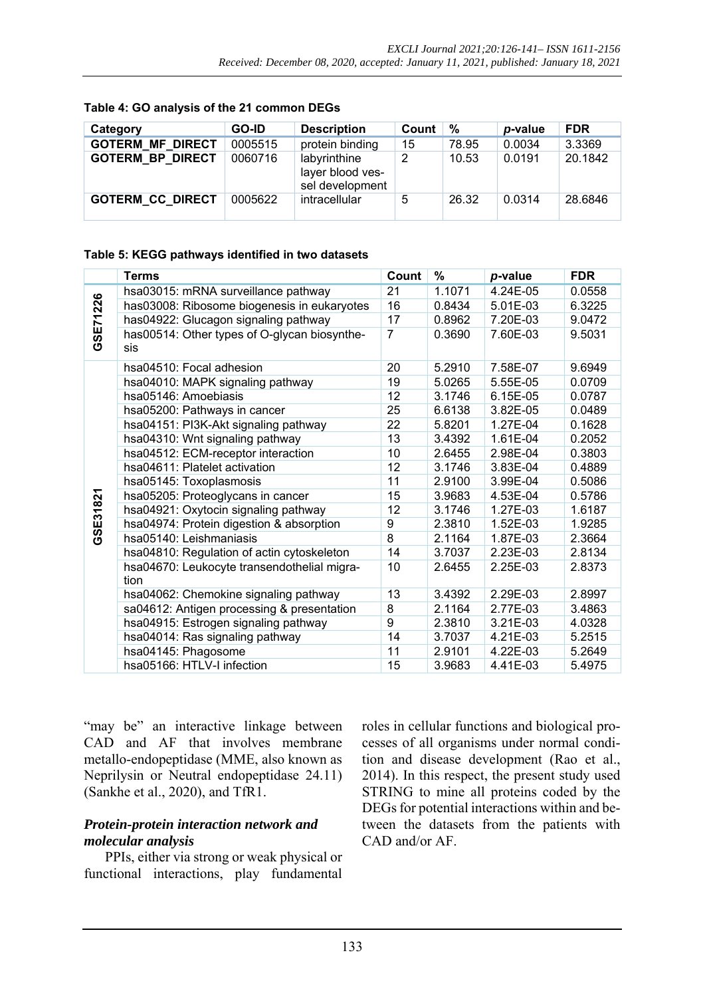| Category                | GO-ID   | <b>Description</b>                                  | Count | %     | p-value | <b>FDR</b> |
|-------------------------|---------|-----------------------------------------------------|-------|-------|---------|------------|
| <b>GOTERM MF DIRECT</b> | 0005515 | protein binding                                     | 15    | 78.95 | 0.0034  | 3.3369     |
| <b>GOTERM BP DIRECT</b> | 0060716 | labyrinthine<br>layer blood ves-<br>sel development | 2     | 10.53 | 0.0191  | 20.1842    |
| <b>GOTERM CC DIRECT</b> | 0005622 | intracellular                                       | .5    | 26.32 | 0.0314  | 28.6846    |

#### **Table 4: GO analysis of the 21 common DEGs**

#### **Table 5: KEGG pathways identified in two datasets**

|                | <b>Terms</b>                                        | Count          | %      | p-value  | <b>FDR</b> |
|----------------|-----------------------------------------------------|----------------|--------|----------|------------|
|                | hsa03015: mRNA surveillance pathway                 | 21             | 1.1071 | 4.24E-05 | 0.0558     |
| <b>SE71226</b> | has03008: Ribosome biogenesis in eukaryotes         | 16             | 0.8434 | 5.01E-03 | 6.3225     |
|                | has04922: Glucagon signaling pathway                | 17             | 0.8962 | 7.20E-03 | 9.0472     |
| ق              | has00514: Other types of O-glycan biosynthe-<br>sis | $\overline{7}$ | 0.3690 | 7.60E-03 | 9.5031     |
|                | hsa04510: Focal adhesion                            | 20             | 5.2910 | 7.58E-07 | 9.6949     |
|                | hsa04010: MAPK signaling pathway                    | 19             | 5.0265 | 5.55E-05 | 0.0709     |
|                | hsa05146: Amoebiasis                                | 12             | 3.1746 | 6.15E-05 | 0.0787     |
|                | hsa05200: Pathways in cancer                        | 25             | 6.6138 | 3.82E-05 | 0.0489     |
|                | hsa04151: PI3K-Akt signaling pathway                | 22             | 5.8201 | 1.27E-04 | 0.1628     |
|                | hsa04310: Wnt signaling pathway                     | 13             | 3.4392 | 1.61E-04 | 0.2052     |
|                | hsa04512: ECM-receptor interaction                  | 10             | 2.6455 | 2.98E-04 | 0.3803     |
|                | hsa04611: Platelet activation                       | 12             | 3.1746 | 3.83E-04 | 0.4889     |
|                | hsa05145: Toxoplasmosis                             | 11             | 2.9100 | 3.99E-04 | 0.5086     |
| GSE31821       | hsa05205: Proteoglycans in cancer                   | 15             | 3.9683 | 4.53E-04 | 0.5786     |
|                | hsa04921: Oxytocin signaling pathway                | 12             | 3.1746 | 1.27E-03 | 1.6187     |
|                | hsa04974: Protein digestion & absorption            | 9              | 2.3810 | 1.52E-03 | 1.9285     |
|                | hsa05140: Leishmaniasis                             | $\overline{8}$ | 2.1164 | 1.87E-03 | 2.3664     |
|                | hsa04810: Regulation of actin cytoskeleton          | 14             | 3.7037 | 2.23E-03 | 2.8134     |
|                | hsa04670: Leukocyte transendothelial migra-<br>tion | 10             | 2.6455 | 2.25E-03 | 2.8373     |
|                | hsa04062: Chemokine signaling pathway               | 13             | 3.4392 | 2.29E-03 | 2.8997     |
|                | sa04612: Antigen processing & presentation          | 8              | 2.1164 | 2.77E-03 | 3.4863     |
|                | hsa04915: Estrogen signaling pathway                | 9              | 2.3810 | 3.21E-03 | 4.0328     |
|                | hsa04014: Ras signaling pathway                     | 14             | 3.7037 | 4.21E-03 | 5.2515     |
|                | hsa04145: Phagosome                                 | 11             | 2.9101 | 4.22E-03 | 5.2649     |
|                | hsa05166: HTLV-I infection                          | 15             | 3.9683 | 4.41E-03 | 5.4975     |

"may be" an interactive linkage between CAD and AF that involves membrane metallo-endopeptidase (MME, also known as Neprilysin or Neutral endopeptidase 24.11) (Sankhe et al., 2020), and TfR1.

# *Protein-protein interaction network and molecular analysis*

PPIs, either via strong or weak physical or functional interactions, play fundamental roles in cellular functions and biological processes of all organisms under normal condition and disease development (Rao et al., 2014). In this respect, the present study used STRING to mine all proteins coded by the DEGs for potential interactions within and between the datasets from the patients with CAD and/or AF.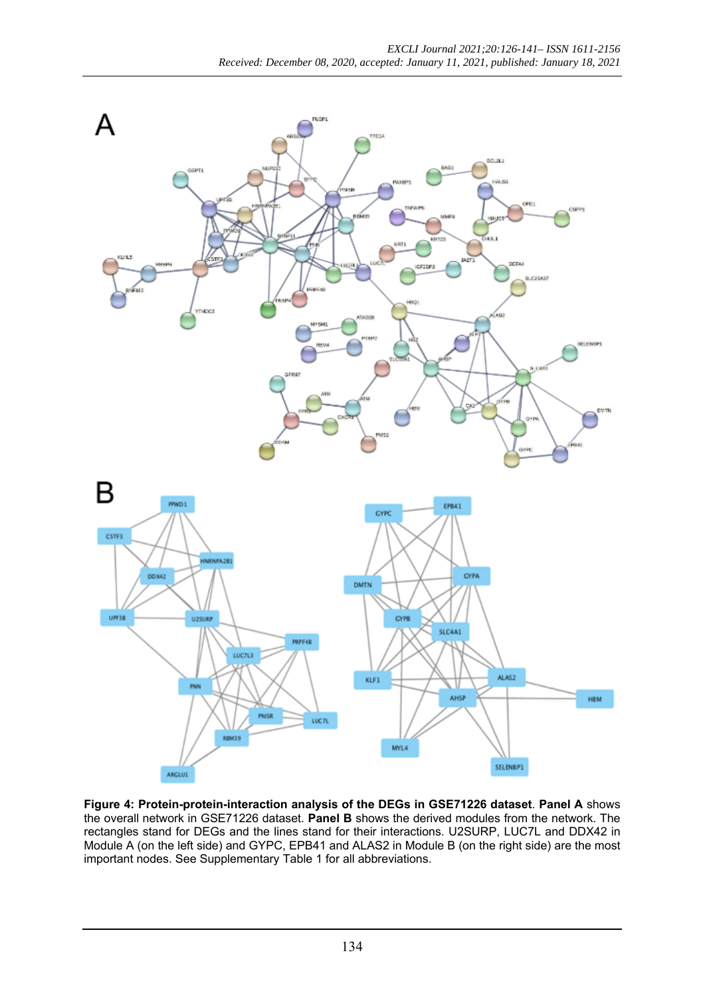

**Figure 4: Protein-protein-interaction analysis of the DEGs in GSE71226 dataset**. **Panel A** shows the overall network in GSE71226 dataset. **Panel B** shows the derived modules from the network. The rectangles stand for DEGs and the lines stand for their interactions. U2SURP, LUC7L and DDX42 in Module A (on the left side) and GYPC, EPB41 and ALAS2 in Module B (on the right side) are the most important nodes. Se[e Supplementary](https://www.excli.de/vol20/excli2020-3262_supplementary_material.zip) Table 1 for all abbreviations.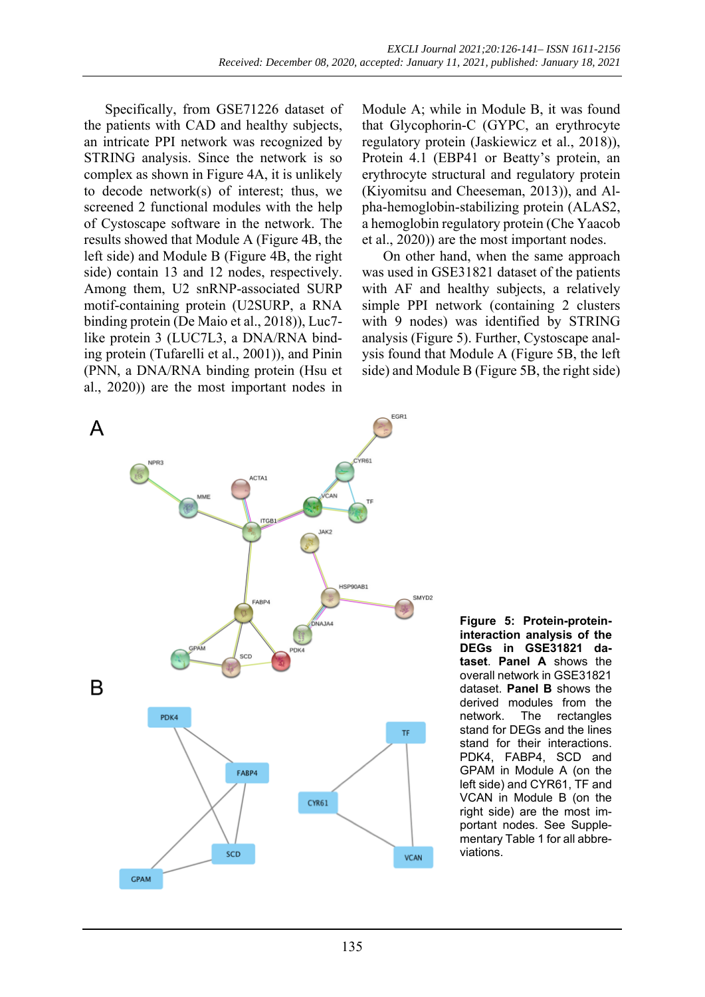Specifically, from GSE71226 dataset of the patients with CAD and healthy subjects, an intricate PPI network was recognized by STRING analysis. Since the network is so complex as shown in Figure 4A, it is unlikely to decode network(s) of interest; thus, we screened 2 functional modules with the help of Cystoscape software in the network. The results showed that Module A (Figure 4B, the left side) and Module B (Figure 4B, the right side) contain 13 and 12 nodes, respectively. Among them, U2 snRNP-associated SURP motif-containing protein (U2SURP, a RNA binding protein (De Maio et al., 2018)), Luc7 like protein 3 (LUC7L3, a DNA/RNA binding protein (Tufarelli et al., 2001)), and Pinin (PNN, a DNA/RNA binding protein (Hsu et al., 2020)) are the most important nodes in

Module A; while in Module B, it was found that Glycophorin-C (GYPC, an erythrocyte regulatory protein (Jaskiewicz et al., 2018)), Protein 4.1 (EBP41 or Beatty's protein, an erythrocyte structural and regulatory protein (Kiyomitsu and Cheeseman, 2013)), and Alpha-hemoglobin-stabilizing protein (ALAS2, a hemoglobin regulatory protein (Che Yaacob et al., 2020)) are the most important nodes.

On other hand, when the same approach was used in GSE31821 dataset of the patients with AF and healthy subjects, a relatively simple PPI network (containing 2 clusters with 9 nodes) was identified by STRING analysis (Figure 5). Further, Cystoscape analysis found that Module A (Figure 5B, the left side) and Module B (Figure 5B, the right side)



**Figure 5: Protein-proteininteraction analysis of the DEGs in GSE31821 dataset**. **Panel A** shows the overall network in GSE31821 dataset. **Panel B** shows the derived modules from the network. The rectangles stand for DEGs and the lines stand for their interactions. PDK4, FABP4, SCD and GPAM in Module A (on the left side) and CYR61, TF and VCAN in Module B (on the right side) are the most important nodes. See [Supple](https://www.excli.de/vol20/excli2020-3262_supplementary_material.zip)[mentary Table 1](https://www.excli.de/vol20/excli2020-3262_supplementary_material.zip) for all abbreviations.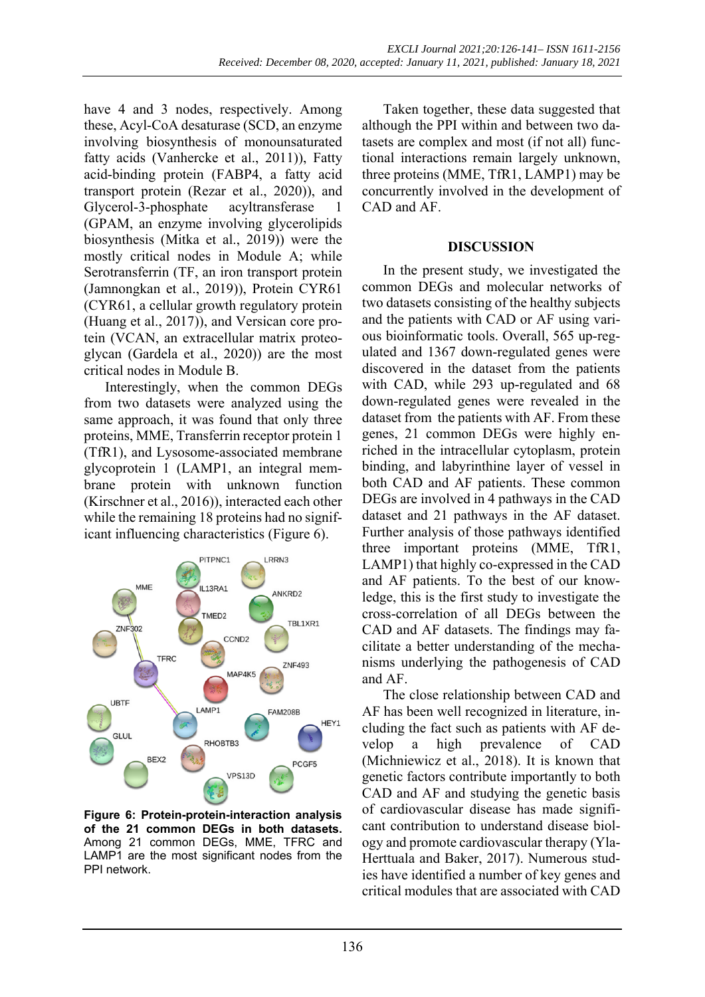have 4 and 3 nodes, respectively. Among these, Acyl-CoA desaturase (SCD, an enzyme involving biosynthesis of monounsaturated fatty acids (Vanhercke et al., 2011)), Fatty acid-binding protein (FABP4, a fatty acid transport protein (Rezar et al., 2020)), and Glycerol-3-phosphate acyltransferase 1 (GPAM, an enzyme involving glycerolipids biosynthesis (Mitka et al., 2019)) were the mostly critical nodes in Module A; while Serotransferrin (TF, an iron transport protein (Jamnongkan et al., 2019)), Protein CYR61 (CYR61, a cellular growth regulatory protein (Huang et al., 2017)), and Versican core protein (VCAN, an extracellular matrix proteoglycan (Gardela et al., 2020)) are the most critical nodes in Module B.

Interestingly, when the common DEGs from two datasets were analyzed using the same approach, it was found that only three proteins, MME, Transferrin receptor protein 1 (TfR1), and Lysosome-associated membrane glycoprotein 1 (LAMP1, an integral membrane protein with unknown function (Kirschner et al., 2016)), interacted each other while the remaining 18 proteins had no significant influencing characteristics (Figure 6).



**Figure 6: Protein-protein-interaction analysis of the 21 common DEGs in both datasets.**  Among 21 common DEGs, MME, TFRC and LAMP1 are the most significant nodes from the PPI network.

Taken together, these data suggested that although the PPI within and between two datasets are complex and most (if not all) functional interactions remain largely unknown, three proteins (MME, TfR1, LAMP1) may be concurrently involved in the development of CAD and AF.

#### **DISCUSSION**

In the present study, we investigated the common DEGs and molecular networks of two datasets consisting of the healthy subjects and the patients with CAD or AF using various bioinformatic tools. Overall, 565 up-regulated and 1367 down-regulated genes were discovered in the dataset from the patients with CAD, while 293 up-regulated and 68 down-regulated genes were revealed in the dataset from the patients with AF. From these genes, 21 common DEGs were highly enriched in the intracellular cytoplasm, protein binding, and labyrinthine layer of vessel in both CAD and AF patients. These common DEGs are involved in 4 pathways in the CAD dataset and 21 pathways in the AF dataset. Further analysis of those pathways identified three important proteins (MME, TfR1, LAMP1) that highly co-expressed in the CAD and AF patients. To the best of our knowledge, this is the first study to investigate the cross-correlation of all DEGs between the CAD and AF datasets. The findings may facilitate a better understanding of the mechanisms underlying the pathogenesis of CAD and AF.

The close relationship between CAD and AF has been well recognized in literature, including the fact such as patients with AF develop a high prevalence of CAD (Michniewicz et al., 2018). It is known that genetic factors contribute importantly to both CAD and AF and studying the genetic basis of cardiovascular disease has made significant contribution to understand disease biology and promote cardiovascular therapy (Yla-Herttuala and Baker, 2017). Numerous studies have identified a number of key genes and critical modules that are associated with CAD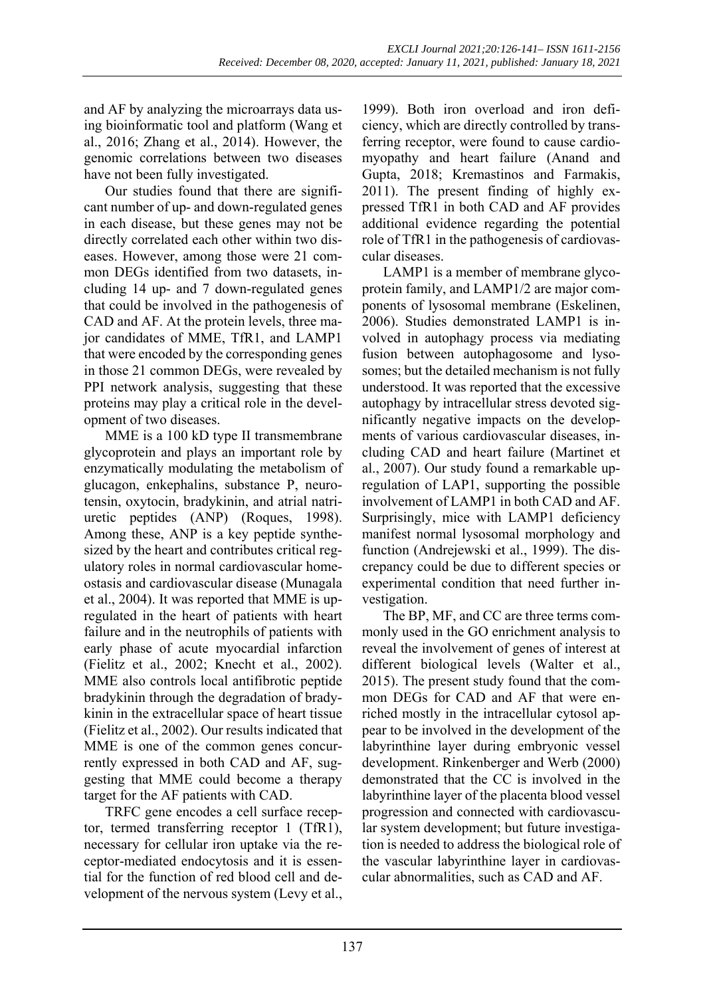and AF by analyzing the microarrays data using bioinformatic tool and platform (Wang et al., 2016; Zhang et al., 2014). However, the genomic correlations between two diseases have not been fully investigated.

Our studies found that there are significant number of up- and down-regulated genes in each disease, but these genes may not be directly correlated each other within two diseases. However, among those were 21 common DEGs identified from two datasets, including 14 up- and 7 down-regulated genes that could be involved in the pathogenesis of CAD and AF. At the protein levels, three major candidates of MME, TfR1, and LAMP1 that were encoded by the corresponding genes in those 21 common DEGs, were revealed by PPI network analysis, suggesting that these proteins may play a critical role in the development of two diseases.

MME is a 100 kD type II transmembrane glycoprotein and plays an important role by enzymatically modulating the metabolism of glucagon, enkephalins, substance P, neurotensin, oxytocin, bradykinin, and atrial natriuretic peptides (ANP) (Roques, 1998). Among these, ANP is a key peptide synthesized by the heart and contributes critical regulatory roles in normal cardiovascular homeostasis and cardiovascular disease (Munagala et al., 2004). It was reported that MME is upregulated in the heart of patients with heart failure and in the neutrophils of patients with early phase of acute myocardial infarction (Fielitz et al., 2002; Knecht et al., 2002). MME also controls local antifibrotic peptide bradykinin through the degradation of bradykinin in the extracellular space of heart tissue (Fielitz et al., 2002). Our results indicated that MME is one of the common genes concurrently expressed in both CAD and AF, suggesting that MME could become a therapy target for the AF patients with CAD.

TRFC gene encodes a cell surface receptor, termed transferring receptor 1 (TfR1), necessary for cellular iron uptake via the receptor-mediated endocytosis and it is essential for the function of red blood cell and development of the nervous system (Levy et al.,

1999). Both iron overload and iron deficiency, which are directly controlled by transferring receptor, were found to cause cardiomyopathy and heart failure (Anand and Gupta, 2018; Kremastinos and Farmakis, 2011). The present finding of highly expressed TfR1 in both CAD and AF provides additional evidence regarding the potential role of TfR1 in the pathogenesis of cardiovascular diseases.

LAMP1 is a member of membrane glycoprotein family, and LAMP1/2 are major components of lysosomal membrane (Eskelinen, 2006). Studies demonstrated LAMP1 is involved in autophagy process via mediating fusion between autophagosome and lysosomes; but the detailed mechanism is not fully understood. It was reported that the excessive autophagy by intracellular stress devoted significantly negative impacts on the developments of various cardiovascular diseases, including CAD and heart failure (Martinet et al., 2007). Our study found a remarkable upregulation of LAP1, supporting the possible involvement of LAMP1 in both CAD and AF. Surprisingly, mice with LAMP1 deficiency manifest normal lysosomal morphology and function (Andrejewski et al., 1999). The discrepancy could be due to different species or experimental condition that need further investigation.

The BP, MF, and CC are three terms commonly used in the GO enrichment analysis to reveal the involvement of genes of interest at different biological levels (Walter et al., 2015). The present study found that the common DEGs for CAD and AF that were enriched mostly in the intracellular cytosol appear to be involved in the development of the labyrinthine layer during embryonic vessel development. Rinkenberger and Werb (2000) demonstrated that the CC is involved in the labyrinthine layer of the placenta blood vessel progression and connected with cardiovascular system development; but future investigation is needed to address the biological role of the vascular labyrinthine layer in cardiovascular abnormalities, such as CAD and AF.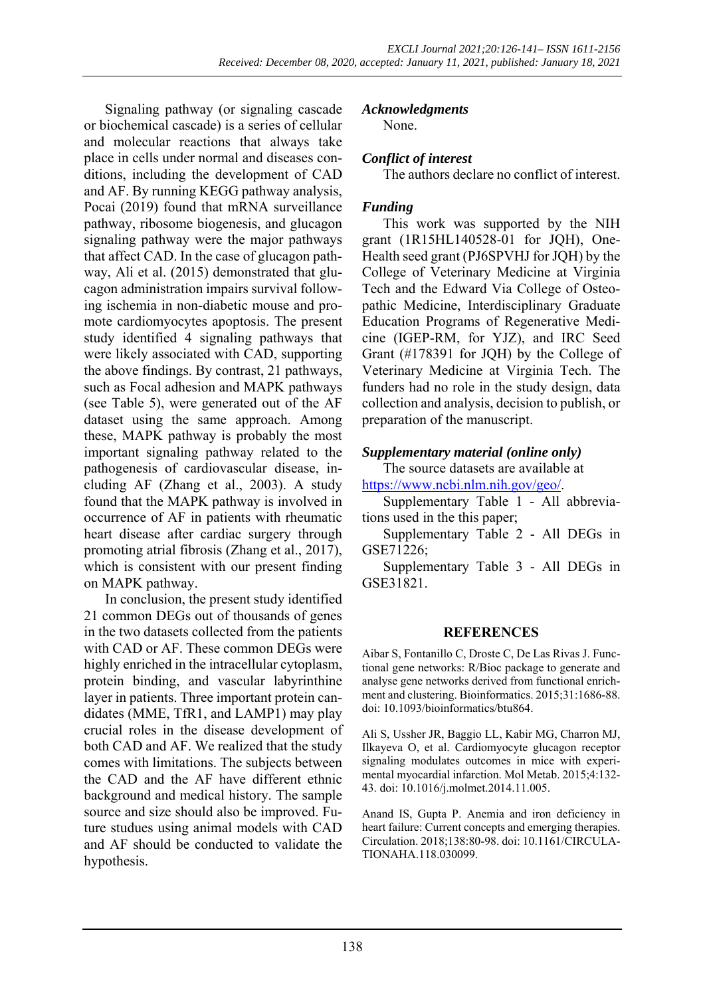Signaling pathway (or signaling cascade or biochemical cascade) is a series of cellular and molecular reactions that always take place in cells under normal and diseases conditions, including the development of CAD and AF. By running KEGG pathway analysis, Pocai (2019) found that mRNA surveillance pathway, ribosome biogenesis, and glucagon signaling pathway were the major pathways that affect CAD. In the case of glucagon pathway, Ali et al. (2015) demonstrated that glucagon administration impairs survival following ischemia in non-diabetic mouse and promote cardiomyocytes apoptosis. The present study identified 4 signaling pathways that were likely associated with CAD, supporting the above findings. By contrast, 21 pathways, such as Focal adhesion and MAPK pathways (see Table 5), were generated out of the AF dataset using the same approach. Among these, MAPK pathway is probably the most important signaling pathway related to the pathogenesis of cardiovascular disease, including AF (Zhang et al., 2003). A study found that the MAPK pathway is involved in occurrence of AF in patients with rheumatic heart disease after cardiac surgery through promoting atrial fibrosis (Zhang et al., 2017), which is consistent with our present finding on MAPK pathway.

In conclusion, the present study identified 21 common DEGs out of thousands of genes in the two datasets collected from the patients with CAD or AF. These common DEGs were highly enriched in the intracellular cytoplasm, protein binding, and vascular labyrinthine layer in patients. Three important protein candidates (MME, TfR1, and LAMP1) may play crucial roles in the disease development of both CAD and AF. We realized that the study comes with limitations. The subjects between the CAD and the AF have different ethnic background and medical history. The sample source and size should also be improved. Future studues using animal models with CAD and AF should be conducted to validate the hypothesis.

## *Acknowledgments*

None.

## *Conflict of interest*

The authors declare no conflict of interest.

## *Funding*

This work was supported by the NIH grant (1R15HL140528-01 for JQH), One-Health seed grant (PJ6SPVHJ for JQH) by the College of Veterinary Medicine at Virginia Tech and the Edward Via College of Osteopathic Medicine, Interdisciplinary Graduate Education Programs of Regenerative Medicine (IGEP-RM, for YJZ), and IRC Seed Grant (#178391 for JQH) by the College of Veterinary Medicine at Virginia Tech. The funders had no role in the study design, data collection and analysis, decision to publish, or preparation of the manuscript.

### *[Supplementary material \(online only\)](https://www.excli.de/vol20/excli2020-3262_supplementary_material.zip)*

The source datasets are available at https://www.ncbi.nlm.nih.gov/geo/.

[Supplementary Table 1 -](https://www.excli.de/vol20/excli2020-3262_supplementary_material.zip) All abbreviations used in the this paper;

[Supplementary Table 2 -](https://www.excli.de/vol20/excli2020-3262_supplementary_material.zip) All DEGs in GSE71226;

[Supplementary Table 3 -](https://www.excli.de/vol20/excli2020-3262_supplementary_material.zip) All DEGs in GSE31821.

#### **REFERENCES**

Aibar S, Fontanillo C, Droste C, De Las Rivas J. Functional gene networks: R/Bioc package to generate and analyse gene networks derived from functional enrichment and clustering. Bioinformatics. 2015;31:1686-88. doi: 10.1093/bioinformatics/btu864.

Ali S, Ussher JR, Baggio LL, Kabir MG, Charron MJ, Ilkayeva O, et al. Cardiomyocyte glucagon receptor signaling modulates outcomes in mice with experimental myocardial infarction. Mol Metab. 2015;4:132- 43. doi: 10.1016/j.molmet.2014.11.005.

Anand IS, Gupta P. Anemia and iron deficiency in heart failure: Current concepts and emerging therapies. Circulation. 2018;138:80-98. doi: 10.1161/CIRCULA-TIONAHA.118.030099.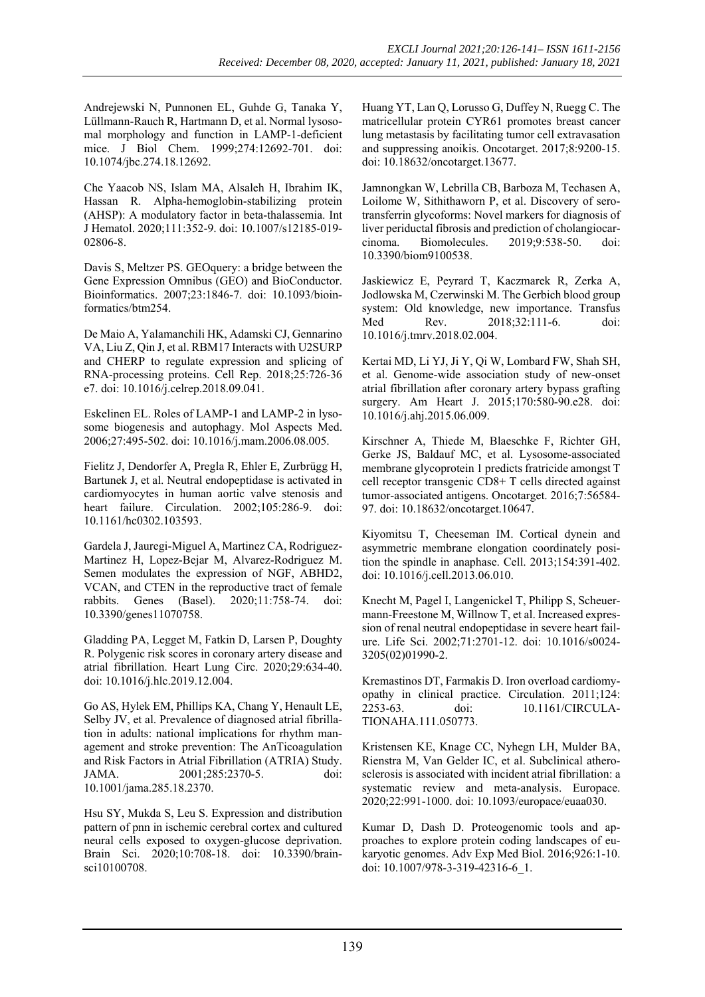Andrejewski N, Punnonen EL, Guhde G, Tanaka Y, Lüllmann-Rauch R, Hartmann D, et al. Normal lysosomal morphology and function in LAMP-1-deficient mice. J Biol Chem. 1999;274:12692-701. doi: 10.1074/jbc.274.18.12692.

Che Yaacob NS, Islam MA, Alsaleh H, Ibrahim IK, Hassan R. Alpha-hemoglobin-stabilizing protein (AHSP): A modulatory factor in beta-thalassemia. Int J Hematol. 2020;111:352-9. doi: 10.1007/s12185-019- 02806-8.

Davis S, Meltzer PS. GEOquery: a bridge between the Gene Expression Omnibus (GEO) and BioConductor. Bioinformatics. 2007;23:1846-7. doi: 10.1093/bioinformatics/btm254.

De Maio A, Yalamanchili HK, Adamski CJ, Gennarino VA, Liu Z, Qin J, et al. RBM17 Interacts with U2SURP and CHERP to regulate expression and splicing of RNA-processing proteins. Cell Rep. 2018;25:726-36 e7. doi: 10.1016/j.celrep.2018.09.041.

Eskelinen EL. Roles of LAMP-1 and LAMP-2 in lysosome biogenesis and autophagy. Mol Aspects Med. 2006;27:495-502. doi: 10.1016/j.mam.2006.08.005.

Fielitz J, Dendorfer A, Pregla R, Ehler E, Zurbrügg H, Bartunek J, et al. Neutral endopeptidase is activated in cardiomyocytes in human aortic valve stenosis and heart failure. Circulation. 2002;105:286-9. doi: 10.1161/hc0302.103593.

Gardela J, Jauregi-Miguel A, Martinez CA, Rodriguez-Martinez H, Lopez-Bejar M, Alvarez-Rodriguez M. Semen modulates the expression of NGF, ABHD2, VCAN, and CTEN in the reproductive tract of female rabbits. Genes (Basel). 2020;11:758-74. doi: 10.3390/genes11070758.

Gladding PA, Legget M, Fatkin D, Larsen P, Doughty R. Polygenic risk scores in coronary artery disease and atrial fibrillation. Heart Lung Circ. 2020;29:634-40. doi: 10.1016/j.hlc.2019.12.004.

Go AS, Hylek EM, Phillips KA, Chang Y, Henault LE, Selby JV, et al. Prevalence of diagnosed atrial fibrillation in adults: national implications for rhythm management and stroke prevention: The AnTicoagulation and Risk Factors in Atrial Fibrillation (ATRIA) Study. JAMA. 2001;285:2370-5. doi: 10.1001/jama.285.18.2370.

Hsu SY, Mukda S, Leu S. Expression and distribution pattern of pnn in ischemic cerebral cortex and cultured neural cells exposed to oxygen-glucose deprivation. Brain Sci. 2020;10:708-18. doi: 10.3390/brainsci10100708.

Huang YT, Lan Q, Lorusso G, Duffey N, Ruegg C. The matricellular protein CYR61 promotes breast cancer lung metastasis by facilitating tumor cell extravasation and suppressing anoikis. Oncotarget. 2017;8:9200-15. doi: 10.18632/oncotarget.13677.

Jamnongkan W, Lebrilla CB, Barboza M, Techasen A, Loilome W, Sithithaworn P, et al. Discovery of serotransferrin glycoforms: Novel markers for diagnosis of liver periductal fibrosis and prediction of cholangiocarcinoma. Biomolecules. 2019;9:538-50. doi: 10.3390/biom9100538.

Jaskiewicz E, Peyrard T, Kaczmarek R, Zerka A, Jodlowska M, Czerwinski M. The Gerbich blood group system: Old knowledge, new importance. Transfus Med Rev. 2018;32:111-6. doi: 10.1016/j.tmrv.2018.02.004.

Kertai MD, Li YJ, Ji Y, Qi W, Lombard FW, Shah SH, et al. Genome-wide association study of new-onset atrial fibrillation after coronary artery bypass grafting surgery. Am Heart J. 2015;170:580-90.e28. doi: 10.1016/j.ahj.2015.06.009.

Kirschner A, Thiede M, Blaeschke F, Richter GH, Gerke JS, Baldauf MC, et al. Lysosome-associated membrane glycoprotein 1 predicts fratricide amongst T cell receptor transgenic CD8+ T cells directed against tumor-associated antigens. Oncotarget. 2016;7:56584- 97. doi: 10.18632/oncotarget.10647.

Kiyomitsu T, Cheeseman IM. Cortical dynein and asymmetric membrane elongation coordinately position the spindle in anaphase. Cell. 2013;154:391-402. doi: 10.1016/j.cell.2013.06.010.

Knecht M, Pagel I, Langenickel T, Philipp S, Scheuermann-Freestone M, Willnow T, et al. Increased expression of renal neutral endopeptidase in severe heart failure. Life Sci. 2002;71:2701-12. doi: 10.1016/s0024- 3205(02)01990-2.

Kremastinos DT, Farmakis D. Iron overload cardiomyopathy in clinical practice. Circulation. 2011;124: 2253-63. doi: 10.1161/CIRCULA-TIONAHA.111.050773.

Kristensen KE, Knage CC, Nyhegn LH, Mulder BA, Rienstra M, Van Gelder IC, et al. Subclinical atherosclerosis is associated with incident atrial fibrillation: a systematic review and meta-analysis. Europace. 2020;22:991-1000. doi: 10.1093/europace/euaa030.

Kumar D, Dash D. Proteogenomic tools and approaches to explore protein coding landscapes of eukaryotic genomes. Adv Exp Med Biol. 2016;926:1-10. doi: 10.1007/978-3-319-42316-6\_1.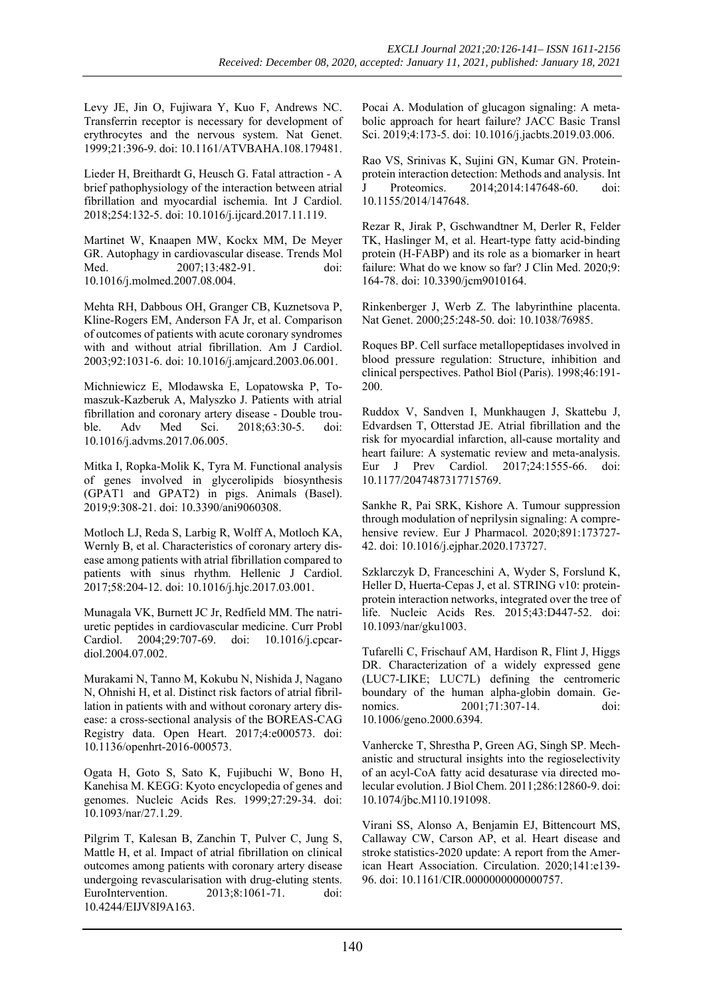Levy JE, Jin O, Fujiwara Y, Kuo F, Andrews NC. Transferrin receptor is necessary for development of erythrocytes and the nervous system. Nat Genet. 1999;21:396-9. doi: 10.1161/ATVBAHA.108.179481.

Lieder H, Breithardt G, Heusch G. Fatal attraction - A brief pathophysiology of the interaction between atrial fibrillation and myocardial ischemia. Int J Cardiol. 2018;254:132-5. doi: 10.1016/j.ijcard.2017.11.119.

Martinet W, Knaapen MW, Kockx MM, De Meyer GR. Autophagy in cardiovascular disease. Trends Mol Med. 2007;13:482-91. doi: 10.1016/j.molmed.2007.08.004.

Mehta RH, Dabbous OH, Granger CB, Kuznetsova P, Kline-Rogers EM, Anderson FA Jr, et al. Comparison of outcomes of patients with acute coronary syndromes with and without atrial fibrillation. Am J Cardiol. 2003;92:1031-6. doi: 10.1016/j.amjcard.2003.06.001.

Michniewicz E, Mlodawska E, Lopatowska P, Tomaszuk-Kazberuk A, Malyszko J. Patients with atrial fibrillation and coronary artery disease - Double trouble. Adv Med Sci. 2018;63:30-5. doi: 10.1016/j.advms.2017.06.005.

Mitka I, Ropka-Molik K, Tyra M. Functional analysis of genes involved in glycerolipids biosynthesis (GPAT1 and GPAT2) in pigs. Animals (Basel). 2019;9:308-21. doi: 10.3390/ani9060308.

Motloch LJ, Reda S, Larbig R, Wolff A, Motloch KA, Wernly B, et al. Characteristics of coronary artery disease among patients with atrial fibrillation compared to patients with sinus rhythm. Hellenic J Cardiol. 2017;58:204-12. doi: 10.1016/j.hjc.2017.03.001.

Munagala VK, Burnett JC Jr, Redfield MM. The natriuretic peptides in cardiovascular medicine. Curr Probl Cardiol. 2004;29:707-69. doi: 10.1016/j.cpcardiol.2004.07.002.

Murakami N, Tanno M, Kokubu N, Nishida J, Nagano N, Ohnishi H, et al. Distinct risk factors of atrial fibrillation in patients with and without coronary artery disease: a cross-sectional analysis of the BOREAS-CAG Registry data. Open Heart. 2017;4:e000573. doi: 10.1136/openhrt-2016-000573.

Ogata H, Goto S, Sato K, Fujibuchi W, Bono H, Kanehisa M. KEGG: Kyoto encyclopedia of genes and genomes. Nucleic Acids Res. 1999;27:29-34. doi: 10.1093/nar/27.1.29.

Pilgrim T, Kalesan B, Zanchin T, Pulver C, Jung S, Mattle H, et al. Impact of atrial fibrillation on clinical outcomes among patients with coronary artery disease undergoing revascularisation with drug-eluting stents. EuroIntervention. 2013;8:1061-71. doi: 10.4244/EIJV8I9A163.

Pocai A. Modulation of glucagon signaling: A metabolic approach for heart failure? JACC Basic Transl Sci. 2019;4:173-5. doi: 10.1016/j.jacbts.2019.03.006.

Rao VS, Srinivas K, Sujini GN, Kumar GN. Proteinprotein interaction detection: Methods and analysis. Int J Proteomics. 2014;2014:147648-60. doi: 10.1155/2014/147648.

Rezar R, Jirak P, Gschwandtner M, Derler R, Felder TK, Haslinger M, et al. Heart-type fatty acid-binding protein (H-FABP) and its role as a biomarker in heart failure: What do we know so far? J Clin Med. 2020;9: 164-78. doi: 10.3390/jcm9010164.

Rinkenberger J, Werb Z. The labyrinthine placenta. Nat Genet. 2000;25:248-50. doi: 10.1038/76985.

Roques BP. Cell surface metallopeptidases involved in blood pressure regulation: Structure, inhibition and clinical perspectives. Pathol Biol (Paris). 1998;46:191- 200.

Ruddox V, Sandven I, Munkhaugen J, Skattebu J, Edvardsen T, Otterstad JE. Atrial fibrillation and the risk for myocardial infarction, all-cause mortality and heart failure: A systematic review and meta-analysis.<br>Eur J Prev Cardiol. 2017;24:1555-66. doi: Eur J Prev Cardiol. 2017;24:1555-66. doi: 10.1177/2047487317715769.

Sankhe R, Pai SRK, Kishore A. Tumour suppression through modulation of neprilysin signaling: A comprehensive review. Eur J Pharmacol. 2020;891:173727- 42. doi: 10.1016/j.ejphar.2020.173727.

Szklarczyk D, Franceschini A, Wyder S, Forslund K, Heller D, Huerta-Cepas J, et al. STRING v10: proteinprotein interaction networks, integrated over the tree of life. Nucleic Acids Res. 2015;43:D447-52. doi: 10.1093/nar/gku1003.

Tufarelli C, Frischauf AM, Hardison R, Flint J, Higgs DR. Characterization of a widely expressed gene (LUC7-LIKE; LUC7L) defining the centromeric boundary of the human alpha-globin domain. Genomics. 2001;71:307-14. doi: 10.1006/geno.2000.6394.

Vanhercke T, Shrestha P, Green AG, Singh SP. Mechanistic and structural insights into the regioselectivity of an acyl-CoA fatty acid desaturase via directed molecular evolution. J Biol Chem. 2011;286:12860-9. doi: 10.1074/jbc.M110.191098.

Virani SS, Alonso A, Benjamin EJ, Bittencourt MS, Callaway CW, Carson AP, et al. Heart disease and stroke statistics-2020 update: A report from the American Heart Association. Circulation. 2020;141:e139- 96. doi: 10.1161/CIR.0000000000000757.